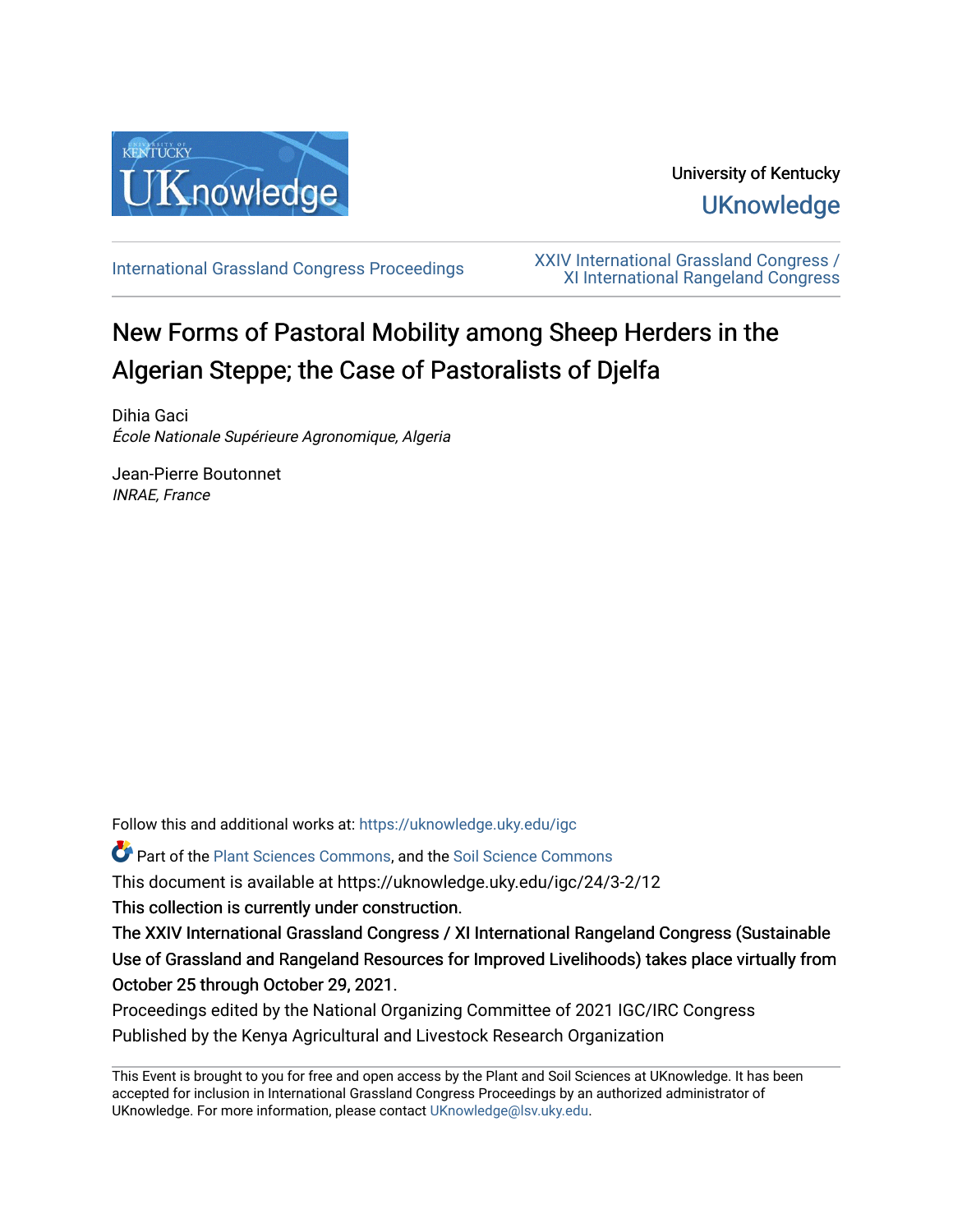

## University of Kentucky **UKnowledge**

[International Grassland Congress Proceedings](https://uknowledge.uky.edu/igc) [XXIV International Grassland Congress /](https://uknowledge.uky.edu/igc/24)  [XI International Rangeland Congress](https://uknowledge.uky.edu/igc/24) 

# New Forms of Pastoral Mobility among Sheep Herders in the Algerian Steppe; the Case of Pastoralists of Djelfa

Dihia Gaci École Nationale Supérieure Agronomique, Algeria

Jean-Pierre Boutonnet INRAE, France

Follow this and additional works at: [https://uknowledge.uky.edu/igc](https://uknowledge.uky.edu/igc?utm_source=uknowledge.uky.edu%2Figc%2F24%2F3-2%2F12&utm_medium=PDF&utm_campaign=PDFCoverPages) 

Part of the [Plant Sciences Commons](http://network.bepress.com/hgg/discipline/102?utm_source=uknowledge.uky.edu%2Figc%2F24%2F3-2%2F12&utm_medium=PDF&utm_campaign=PDFCoverPages), and the [Soil Science Commons](http://network.bepress.com/hgg/discipline/163?utm_source=uknowledge.uky.edu%2Figc%2F24%2F3-2%2F12&utm_medium=PDF&utm_campaign=PDFCoverPages) 

This document is available at https://uknowledge.uky.edu/igc/24/3-2/12

This collection is currently under construction.

The XXIV International Grassland Congress / XI International Rangeland Congress (Sustainable Use of Grassland and Rangeland Resources for Improved Livelihoods) takes place virtually from October 25 through October 29, 2021.

Proceedings edited by the National Organizing Committee of 2021 IGC/IRC Congress Published by the Kenya Agricultural and Livestock Research Organization

This Event is brought to you for free and open access by the Plant and Soil Sciences at UKnowledge. It has been accepted for inclusion in International Grassland Congress Proceedings by an authorized administrator of UKnowledge. For more information, please contact [UKnowledge@lsv.uky.edu](mailto:UKnowledge@lsv.uky.edu).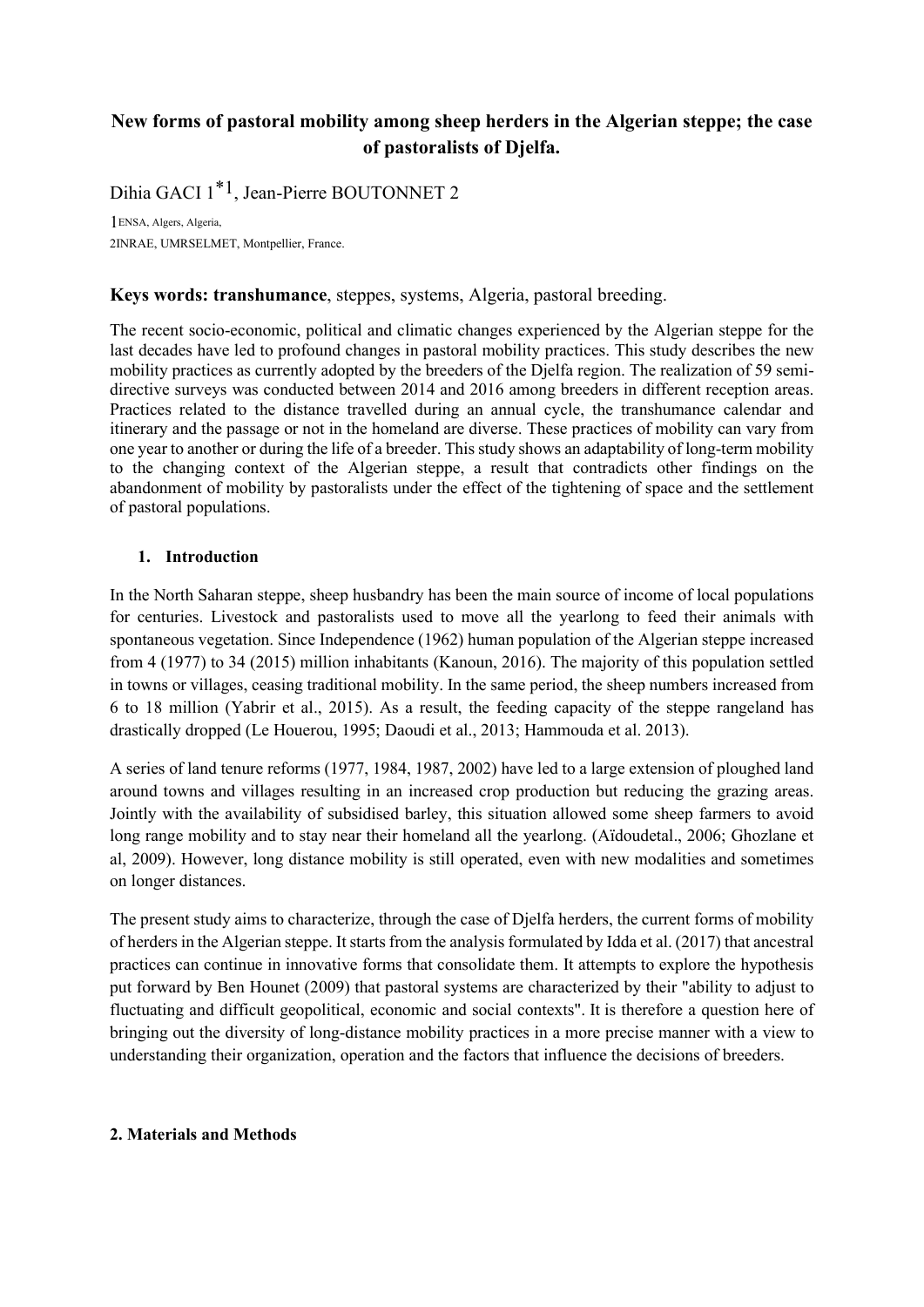## **New forms of pastoral mobility among sheep herders in the Algerian steppe; the case of pastoralists of Djelfa.**

Dihia GACI 1\*1, Jean-Pierre BOUTONNET 2

1ENSA, Algers, Algeria, 2INRAE, UMRSELMET, Montpellier, France.

#### **Keys words: transhumance**, steppes, systems, Algeria, pastoral breeding.

The recent socio-economic, political and climatic changes experienced by the Algerian steppe for the last decades have led to profound changes in pastoral mobility practices. This study describes the new mobility practices as currently adopted by the breeders of the Djelfa region. The realization of 59 semidirective surveys was conducted between 2014 and 2016 among breeders in different reception areas. Practices related to the distance travelled during an annual cycle, the transhumance calendar and itinerary and the passage or not in the homeland are diverse. These practices of mobility can vary from one year to another or during the life of a breeder. This study shows an adaptability of long-term mobility to the changing context of the Algerian steppe, a result that contradicts other findings on the abandonment of mobility by pastoralists under the effect of the tightening of space and the settlement of pastoral populations.

#### **1. Introduction**

In the North Saharan steppe, sheep husbandry has been the main source of income of local populations for centuries. Livestock and pastoralists used to move all the yearlong to feed their animals with spontaneous vegetation. Since Independence (1962) human population of the Algerian steppe increased from 4 (1977) to 34 (2015) million inhabitants (Kanoun, 2016). The majority of this population settled in towns or villages, ceasing traditional mobility. In the same period, the sheep numbers increased from 6 to 18 million (Yabrir et al., 2015). As a result, the feeding capacity of the steppe rangeland has drastically dropped (Le Houerou, 1995; Daoudi et al., 2013; Hammouda et al. 2013).

A series of land tenure reforms (1977, 1984, 1987, 2002) have led to a large extension of ploughed land around towns and villages resulting in an increased crop production but reducing the grazing areas. Jointly with the availability of subsidised barley, this situation allowed some sheep farmers to avoid long range mobility and to stay near their homeland all the yearlong. (Aïdoudetal., 2006; Ghozlane et al, 2009). However, long distance mobility is still operated, even with new modalities and sometimes on longer distances.

The present study aims to characterize, through the case of Djelfa herders, the current forms of mobility of herders in the Algerian steppe. It starts from the analysis formulated by Idda et al. (2017) that ancestral practices can continue in innovative forms that consolidate them. It attempts to explore the hypothesis put forward by Ben Hounet (2009) that pastoral systems are characterized by their "ability to adjust to fluctuating and difficult geopolitical, economic and social contexts". It is therefore a question here of bringing out the diversity of long-distance mobility practices in a more precise manner with a view to understanding their organization, operation and the factors that influence the decisions of breeders.

#### **2. Materials and Methods**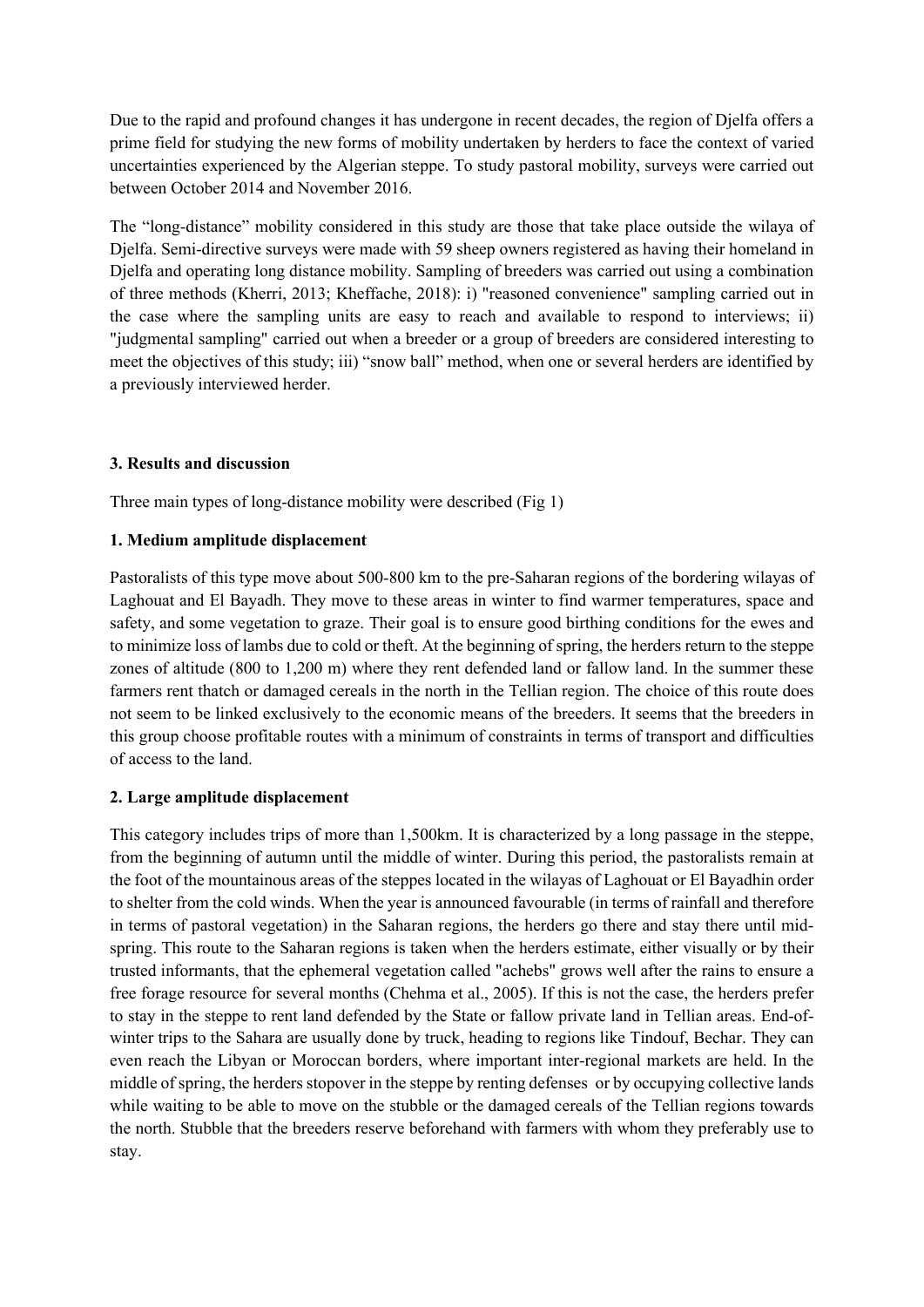Due to the rapid and profound changes it has undergone in recent decades, the region of Djelfa offers a prime field for studying the new forms of mobility undertaken by herders to face the context of varied uncertainties experienced by the Algerian steppe. To study pastoral mobility, surveys were carried out between October 2014 and November 2016.

The "long-distance" mobility considered in this study are those that take place outside the wilaya of Djelfa. Semi-directive surveys were made with 59 sheep owners registered as having their homeland in Djelfa and operating long distance mobility. Sampling of breeders was carried out using a combination of three methods (Kherri, 2013; Kheffache, 2018): i) "reasoned convenience" sampling carried out in the case where the sampling units are easy to reach and available to respond to interviews; ii) "judgmental sampling" carried out when a breeder or a group of breeders are considered interesting to meet the objectives of this study; iii) "snow ball" method, when one or several herders are identified by a previously interviewed herder.

#### **3. Results and discussion**

Three main types of long-distance mobility were described (Fig 1)

### **1. Medium amplitude displacement**

Pastoralists of this type move about 500-800 km to the pre-Saharan regions of the bordering wilayas of Laghouat and El Bayadh. They move to these areas in winter to find warmer temperatures, space and safety, and some vegetation to graze. Their goal is to ensure good birthing conditions for the ewes and to minimize loss of lambs due to cold or theft. At the beginning of spring, the herders return to the steppe zones of altitude (800 to 1,200 m) where they rent defended land or fallow land. In the summer these farmers rent thatch or damaged cereals in the north in the Tellian region. The choice of this route does not seem to be linked exclusively to the economic means of the breeders. It seems that the breeders in this group choose profitable routes with a minimum of constraints in terms of transport and difficulties of access to the land.

## **2. Large amplitude displacement**

This category includes trips of more than 1,500km. It is characterized by a long passage in the steppe, from the beginning of autumn until the middle of winter. During this period, the pastoralists remain at the foot of the mountainous areas of the steppes located in the wilayas of Laghouat or El Bayadhin order to shelter from the cold winds. When the year is announced favourable (in terms of rainfall and therefore in terms of pastoral vegetation) in the Saharan regions, the herders go there and stay there until midspring. This route to the Saharan regions is taken when the herders estimate, either visually or by their trusted informants, that the ephemeral vegetation called "achebs" grows well after the rains to ensure a free forage resource for several months (Chehma et al., 2005). If this is not the case, the herders prefer to stay in the steppe to rent land defended by the State or fallow private land in Tellian areas. End-ofwinter trips to the Sahara are usually done by truck, heading to regions like Tindouf, Bechar. They can even reach the Libyan or Moroccan borders, where important inter-regional markets are held. In the middle of spring, the herders stopover in the steppe by renting defenses or by occupying collective lands while waiting to be able to move on the stubble or the damaged cereals of the Tellian regions towards the north. Stubble that the breeders reserve beforehand with farmers with whom they preferably use to stay.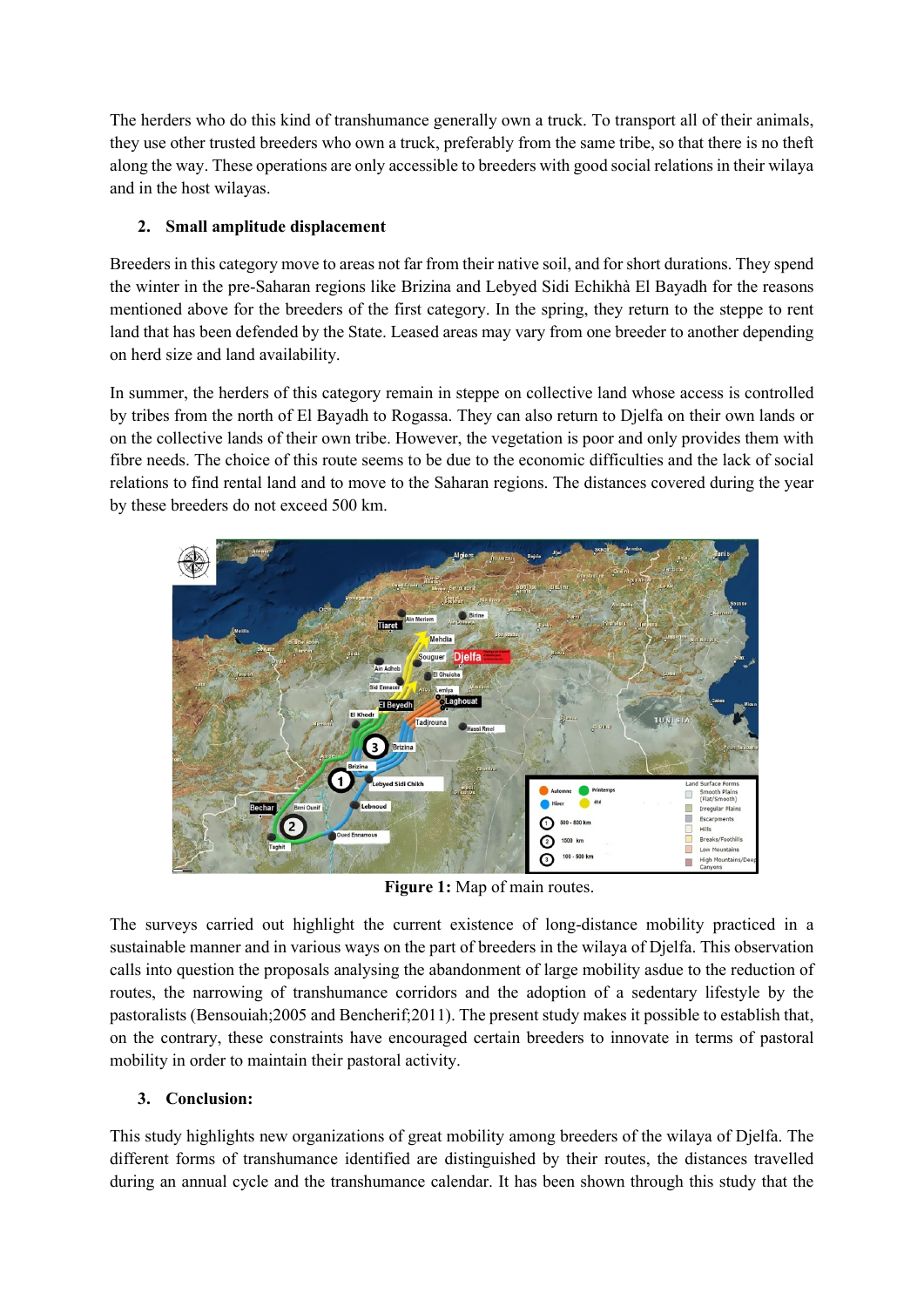The herders who do this kind of transhumance generally own a truck. To transport all of their animals, they use other trusted breeders who own a truck, preferably from the same tribe, so that there is no theft along the way. These operations are only accessible to breeders with good social relations in their wilaya and in the host wilayas.

## **2. Small amplitude displacement**

Breeders in this category move to areas not far from their native soil, and for short durations. They spend the winter in the pre-Saharan regions like Brizina and Lebyed Sidi Echikhà El Bayadh for the reasons mentioned above for the breeders of the first category. In the spring, they return to the steppe to rent land that has been defended by the State. Leased areas may vary from one breeder to another depending on herd size and land availability.

In summer, the herders of this category remain in steppe on collective land whose access is controlled by tribes from the north of El Bayadh to Rogassa. They can also return to Djelfa on their own lands or on the collective lands of their own tribe. However, the vegetation is poor and only provides them with fibre needs. The choice of this route seems to be due to the economic difficulties and the lack of social relations to find rental land and to move to the Saharan regions. The distances covered during the year by these breeders do not exceed 500 km.



**Figure 1:** Map of main routes.

The surveys carried out highlight the current existence of long-distance mobility practiced in a sustainable manner and in various ways on the part of breeders in the wilaya of Djelfa. This observation calls into question the proposals analysing the abandonment of large mobility asdue to the reduction of routes, the narrowing of transhumance corridors and the adoption of a sedentary lifestyle by the pastoralists (Bensouiah;2005 and Bencherif;2011). The present study makes it possible to establish that, on the contrary, these constraints have encouraged certain breeders to innovate in terms of pastoral mobility in order to maintain their pastoral activity.

## **3. Conclusion:**

This study highlights new organizations of great mobility among breeders of the wilaya of Djelfa. The different forms of transhumance identified are distinguished by their routes, the distances travelled during an annual cycle and the transhumance calendar. It has been shown through this study that the